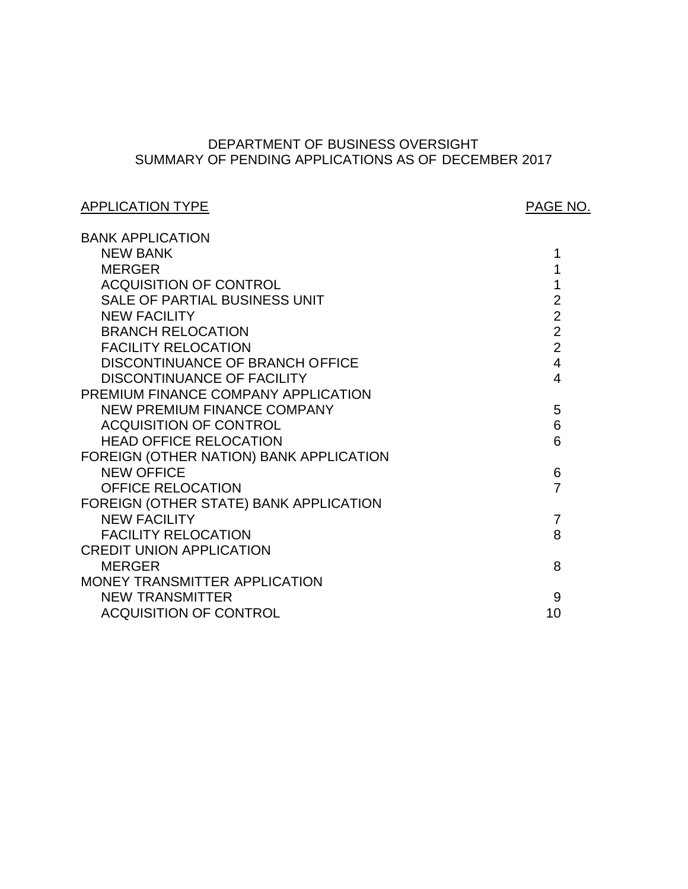# SUMMARY OF PENDING APPLICATIONS AS OF DECEMBER 2017 DEPARTMENT OF BUSINESS OVERSIGHT

# APPLICATION TYPE APPLICATION TYPE

| <b>BANK APPLICATION</b>                 |                |
|-----------------------------------------|----------------|
| <b>NEW BANK</b>                         | 1              |
| <b>MERGER</b>                           | 1              |
| <b>ACQUISITION OF CONTROL</b>           | 1              |
| SALE OF PARTIAL BUSINESS UNIT           | $\overline{2}$ |
| <b>NEW FACILITY</b>                     | $\overline{2}$ |
| <b>BRANCH RELOCATION</b>                | $\overline{2}$ |
| <b>FACILITY RELOCATION</b>              | $\overline{2}$ |
| DISCONTINUANCE OF BRANCH OFFICE         | $\overline{4}$ |
| <b>DISCONTINUANCE OF FACILITY</b>       | 4              |
| PREMIUM FINANCE COMPANY APPLICATION     |                |
| <b>NEW PREMIUM FINANCE COMPANY</b>      | 5              |
| <b>ACQUISITION OF CONTROL</b>           | 6              |
| <b>HEAD OFFICE RELOCATION</b>           | 6              |
| FOREIGN (OTHER NATION) BANK APPLICATION |                |
| <b>NEW OFFICE</b>                       | 6              |
| <b>OFFICE RELOCATION</b>                | $\overline{7}$ |
| FOREIGN (OTHER STATE) BANK APPLICATION  |                |
| <b>NEW FACILITY</b>                     | 7              |
| <b>FACILITY RELOCATION</b>              | 8              |
| <b>CREDIT UNION APPLICATION</b>         |                |
| <b>MERGER</b>                           | 8              |
| MONEY TRANSMITTER APPLICATION           |                |
| <b>NEW TRANSMITTER</b>                  | 9              |
| <b>ACQUISITION OF CONTROL</b>           | 10             |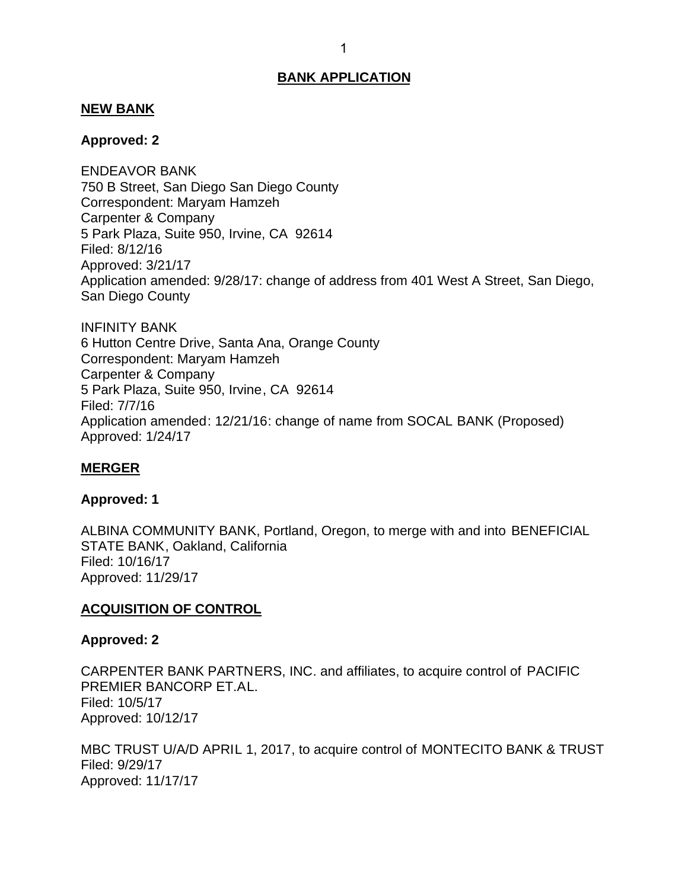### <span id="page-1-0"></span>**NEW BANK**

### **Approved: 2**

 750 B Street, San Diego San Diego County Correspondent: Maryam Hamzeh Carpenter & Company 5 Park Plaza, Suite 950, Irvine, CA 92614 Application amended: 9/28/17: change of address from 401 West A Street, San Diego, San Diego County ENDEAVOR BANK Filed: 8/12/16 Approved: 3/21/17

 6 Hutton Centre Drive, Santa Ana, Orange County Correspondent: Maryam Hamzeh Carpenter & Company 5 Park Plaza, Suite 950, Irvine, CA 92614 INFINITY BANK Filed: 7/7/16 Application amended: 12/21/16: change of name from SOCAL BANK (Proposed) Approved: 1/24/17

### **MERGER**

### **Approved: 1**

 ALBINA COMMUNITY BANK, Portland, Oregon, to merge with and into BENEFICIAL STATE BANK, Oakland, California Filed: 10/16/17 Approved: 11/29/17

### **ACQUISITION OF CONTROL**

### **Approved: 2**

 CARPENTER BANK PARTNERS, INC. and affiliates, to acquire control of PACIFIC PREMIER BANCORP ET.AL. Filed: 10/5/17 Approved: 10/12/17

 MBC TRUST U/A/D APRIL 1, 2017, to acquire control of MONTECITO BANK & TRUST Filed: 9/29/17 Approved: 11/17/17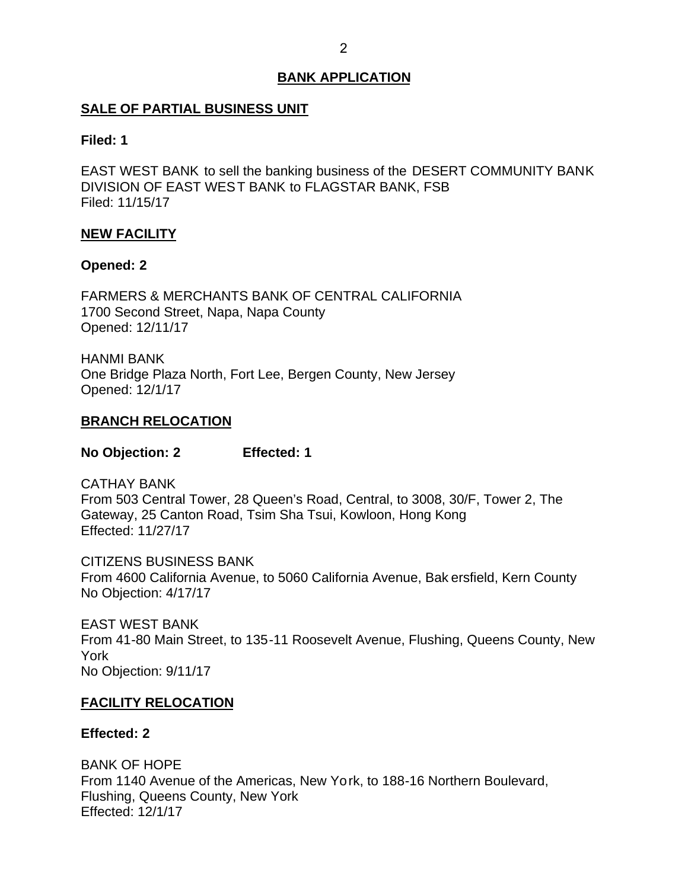## <span id="page-2-0"></span>**SALE OF PARTIAL BUSINESS UNIT**

### **Filed: 1**

 EAST WEST BANK to sell the banking business of the DESERT COMMUNITY BANK DIVISION OF EAST WES T BANK to FLAGSTAR BANK, FSB Filed: 11/15/17

## **NEW FACILITY**

### **Opened: 2**

 FARMERS & MERCHANTS BANK OF CENTRAL CALIFORNIA 1700 Second Street, Napa, Napa County Opened: 12/11/17

 One Bridge Plaza North, Fort Lee, Bergen County, New Jersey HANMI BANK Opened: 12/1/17

### **BRANCH RELOCATION**

**No Objection: 2 Effected: 1** 

 From 503 Central Tower, 28 Queen's Road, Central, to 3008, 30/F, Tower 2, The Gateway, 25 Canton Road, Tsim Sha Tsui, Kowloon, Hong Kong CATHAY BANK Effected: 11/27/17

 From 4600 California Avenue, to 5060 California Avenue, Bak ersfield, Kern County No Objection: 4/17/17 CITIZENS BUSINESS BANK

 EAST WEST BANK From 41-80 Main Street, to 135-11 Roosevelt Avenue, Flushing, Queens County, New No Objection: 9/11/17 York

### **FACILITY RELOCATION**

### **Effected: 2**

 From 1140 Avenue of the Americas, New Yo rk, to 188-16 Northern Boulevard, Flushing, Queens County, New York BANK OF HOPE Effected: 12/1/17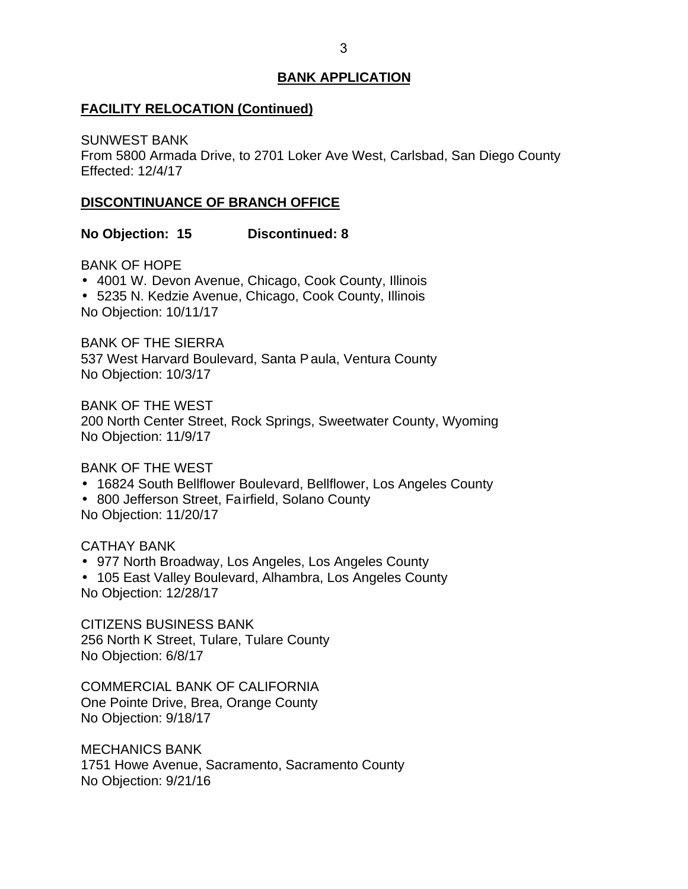### **FACILITY RELOCATION (Continued)**

 From 5800 Armada Drive, to 2701 Loker Ave West, Carlsbad, San Diego County SUNWEST BANK Effected: 12/4/17

## **DISCONTINUANCE OF BRANCH OFFICE**

**No Objection: 15 Discontinued: 8** 

BANK OF HOPE

4001 W. Devon Avenue, Chicago, Cook County, Illinois

5235 N. Kedzie Avenue, Chicago, Cook County, Illinois

No Objection: 10/11/17

 BANK OF THE SIERRA 537 West Harvard Boulevard, Santa P aula, Ventura County No Objection: 10/3/17

 BANK OF THE WEST 200 North Center Street, Rock Springs, Sweetwater County, Wyoming No Objection: 11/9/17

BANK OF THE WEST

- 16824 South Bellflower Boulevard, Bellflower, Los Angeles County
- 800 Jefferson Street, Fairfield, Solano County No Objection: 11/20/17

CATHAY BANK

- 977 North Broadway, Los Angeles, Los Angeles County
- 105 East Valley Boulevard, Alhambra, Los Angeles County No Objection: 12/28/17

 256 North K Street, Tulare, Tulare County No Objection: 6/8/17 CITIZENS BUSINESS BANK

 COMMERCIAL BANK OF CALIFORNIA One Pointe Drive, Brea, Orange County No Objection: 9/18/17

 1751 Howe Avenue, Sacramento, Sacramento County No Objection: 9/21/16 MECHANICS BANK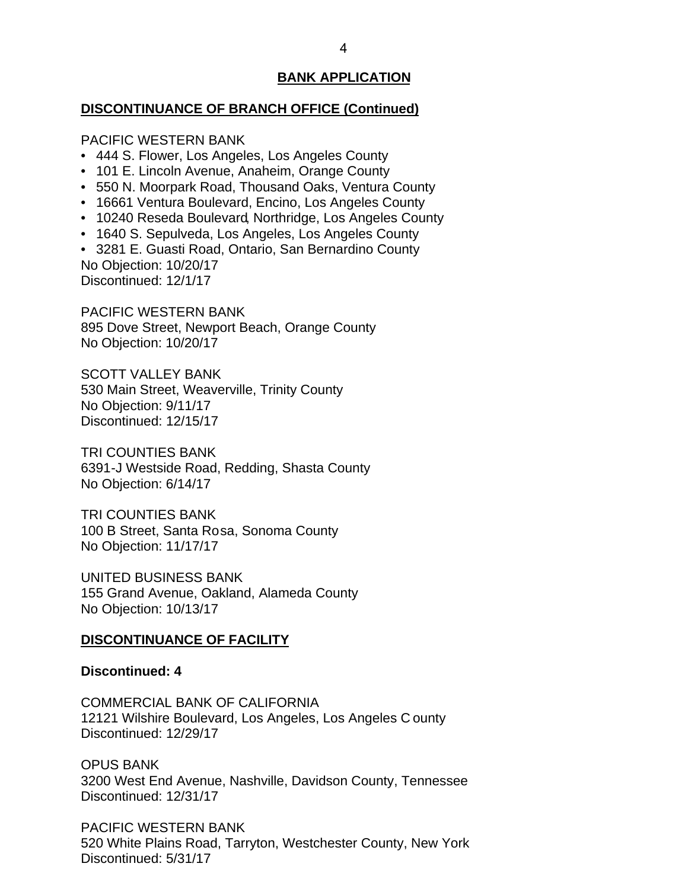### <span id="page-4-0"></span>**DISCONTINUANCE OF BRANCH OFFICE (Continued)**

PACIFIC WESTERN BANK

- 444 S. Flower, Los Angeles, Los Angeles County
- 101 E. Lincoln Avenue, Anaheim, Orange County
- 550 N. Moorpark Road, Thousand Oaks, Ventura County
- 16661 Ventura Boulevard, Encino, Los Angeles County
- 10240 Reseda Boulevard, Northridge, Los Angeles County
- 1640 S. Sepulveda, Los Angeles, Los Angeles County

 • 3281 E. Guasti Road, Ontario, San Bernardino County No Objection: 10/20/17

Discontinued: 12/1/17

 PACIFIC WESTERN BANK 895 Dove Street, Newport Beach, Orange County No Objection: 10/20/17

 530 Main Street, Weaverville, Trinity County No Objection: 9/11/17 SCOTT VALLEY BANK Discontinued: 12/15/17

 6391-J Westside Road, Redding, Shasta County No Objection: 6/14/17 TRI COUNTIES BANK

 100 B Street, Santa Rosa, Sonoma County No Objection: 11/17/17 TRI COUNTIES BANK

 155 Grand Avenue, Oakland, Alameda County No Objection: 10/13/17 UNITED BUSINESS BANK

### **DISCONTINUANCE OF FACILITY**

### **Discontinued: 4**

 COMMERCIAL BANK OF CALIFORNIA 12121 Wilshire Boulevard, Los Angeles, Los Angeles C ounty Discontinued: 12/29/17

 3200 West End Avenue, Nashville, Davidson County, Tennessee OPUS BANK Discontinued: 12/31/17

 520 White Plains Road, Tarryton, Westchester County, New York PACIFIC WESTERN BANK Discontinued: 5/31/17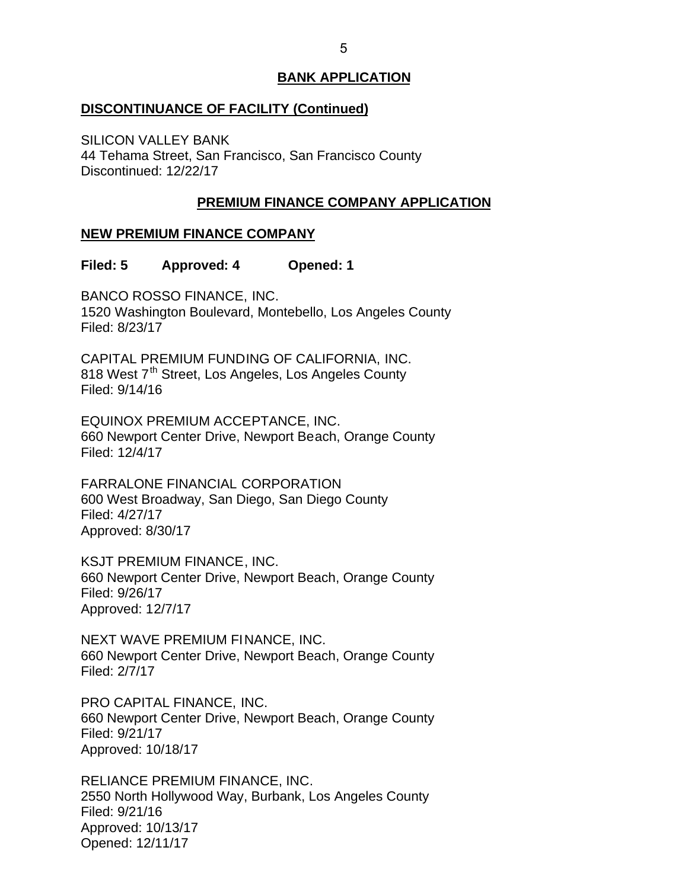### <span id="page-5-0"></span>**DISCONTINUANCE OF FACILITY (Continued)**

 44 Tehama Street, San Francisco, San Francisco County SILICON VALLEY BANK Discontinued: 12/22/17

# **PREMIUM FINANCE COMPANY APPLICATION**

# **NEW PREMIUM FINANCE COMPANY**

### **Filed: 5 Approved: 4 Opened: 1**

 BANCO ROSSO FINANCE, INC. 1520 Washington Boulevard, Montebello, Los Angeles County Filed: 8/23/17

 CAPITAL PREMIUM FUNDING OF CALIFORNIA, INC. 818 West 7<sup>th</sup> Street, Los Angeles, Los Angeles County Filed: 9/14/16

 EQUINOX PREMIUM ACCEPTANCE, INC. 660 Newport Center Drive, Newport Beach, Orange County Filed: 12/4/17

 600 West Broadway, San Diego, San Diego County FARRALONE FINANCIAL CORPORATION Filed: 4/27/17 Approved: 8/30/17

 KSJT PREMIUM FINANCE, INC. 660 Newport Center Drive, Newport Beach, Orange County Filed: 9/26/17 Approved: 12/7/17

 NEXT WAVE PREMIUM FINANCE, INC. 660 Newport Center Drive, Newport Beach, Orange County Filed: 2/7/17

 PRO CAPITAL FINANCE, INC. 660 Newport Center Drive, Newport Beach, Orange County Filed: 9/21/17 Approved: 10/18/17

 RELIANCE PREMIUM FINANCE, INC. 2550 North Hollywood Way, Burbank, Los Angeles County Filed: 9/21/16 Approved: 10/13/17 Opened: 12/11/17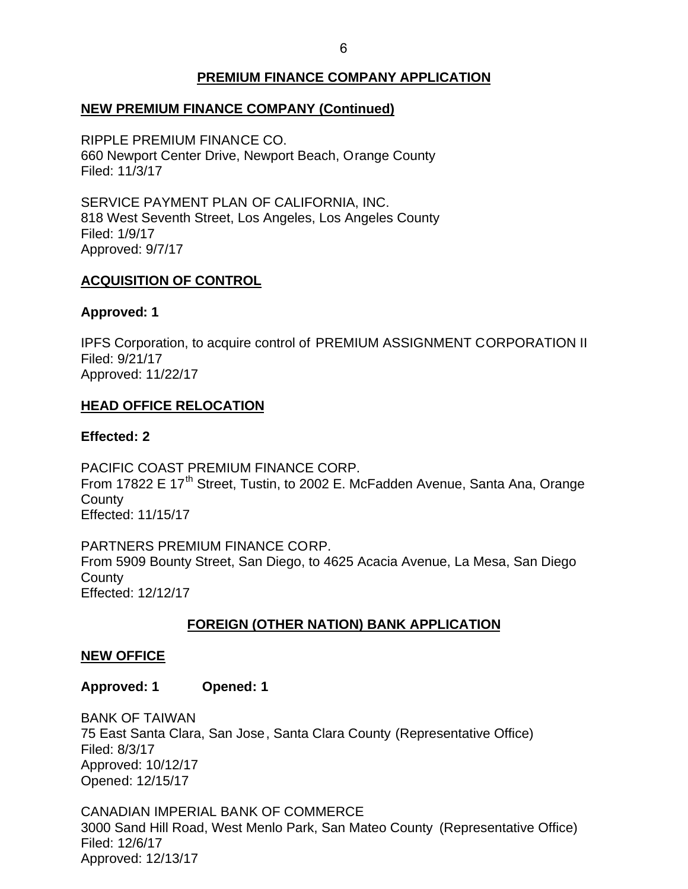# **PREMIUM FINANCE COMPANY APPLICATION**

# <span id="page-6-0"></span> **NEW PREMIUM FINANCE COMPANY (Continued)**

 RIPPLE PREMIUM FINANCE CO. 660 Newport Center Drive, Newport Beach, Orange County Filed: 11/3/17

 SERVICE PAYMENT PLAN OF CALIFORNIA, INC. 818 West Seventh Street, Los Angeles, Los Angeles County Filed: 1/9/17 Approved: 9/7/17

## **ACQUISITION OF CONTROL**

### **Approved: 1**

 IPFS Corporation, to acquire control of PREMIUM ASSIGNMENT CORPORATION II Filed: 9/21/17 Approved: 11/22/17

## **HEAD OFFICE RELOCATION**

### **Effected: 2**

 PACIFIC COAST PREMIUM FINANCE CORP. From 17822 E 17<sup>th</sup> Street, Tustin, to 2002 E. McFadden Avenue, Santa Ana, Orange **County** Effected: 11/15/17

 PARTNERS PREMIUM FINANCE CORP. From 5909 Bounty Street, San Diego, to 4625 Acacia Avenue, La Mesa, San Diego **County** Effected: 12/12/17

# **FOREIGN (OTHER NATION) BANK APPLICATION**

### **NEW OFFICE**

**Approved: 1 Opened: 1** 

 75 East Santa Clara, San Jose, Santa Clara County (Representative Office) BANK OF TAIWAN Filed: 8/3/17 Approved: 10/12/17 Opened: 12/15/17

 3000 Sand Hill Road, West Menlo Park, San Mateo County (Representative Office) CANADIAN IMPERIAL BANK OF COMMERCE Filed: 12/6/17 Approved: 12/13/17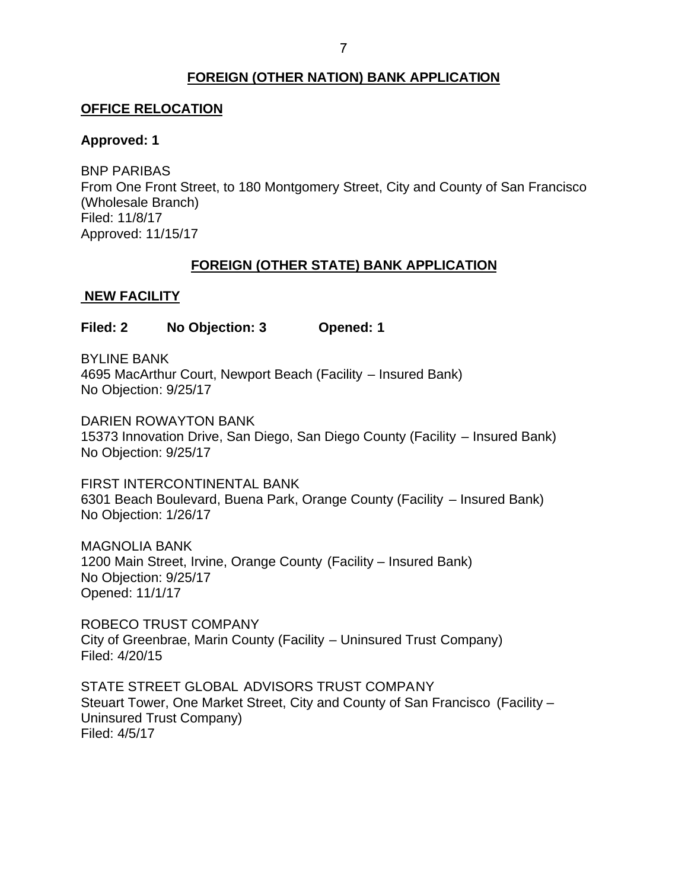# **FOREIGN (OTHER NATION) BANK APPLICATION**

## <span id="page-7-0"></span>**OFFICE RELOCATION**

## **Approved: 1**

 From One Front Street, to 180 Montgomery Street, City and County of San Francisco BNP PARIBAS (Wholesale Branch) Filed: 11/8/17 Approved: 11/15/17

# **FOREIGN (OTHER STATE) BANK APPLICATION**

# **NEW FACILITY**

**Filed: 2 No Objection: 3 Opened: 1** 

 4695 MacArthur Court, Newport Beach (Facility – Insured Bank) BYLINE BANK No Objection: 9/25/17

 15373 Innovation Drive, San Diego, San Diego County (Facility – Insured Bank) No Objection: 9/25/17 DARIEN ROWAYTON BANK

 6301 Beach Boulevard, Buena Park, Orange County (Facility – Insured Bank) No Objection: 1/26/17 FIRST INTERCONTINENTAL BANK

 1200 Main Street, Irvine, Orange County (Facility – Insured Bank) No Objection: 9/25/17 MAGNOLIA BANK Opened: 11/1/17

 ROBECO TRUST COMPANY City of Greenbrae, Marin County (Facility – Uninsured Trust Company) Filed: 4/20/15

 STATE STREET GLOBAL ADVISORS TRUST COMPANY Steuart Tower, One Market Street, City and County of San Francisco (Facility – Uninsured Trust Company) Filed: 4/5/17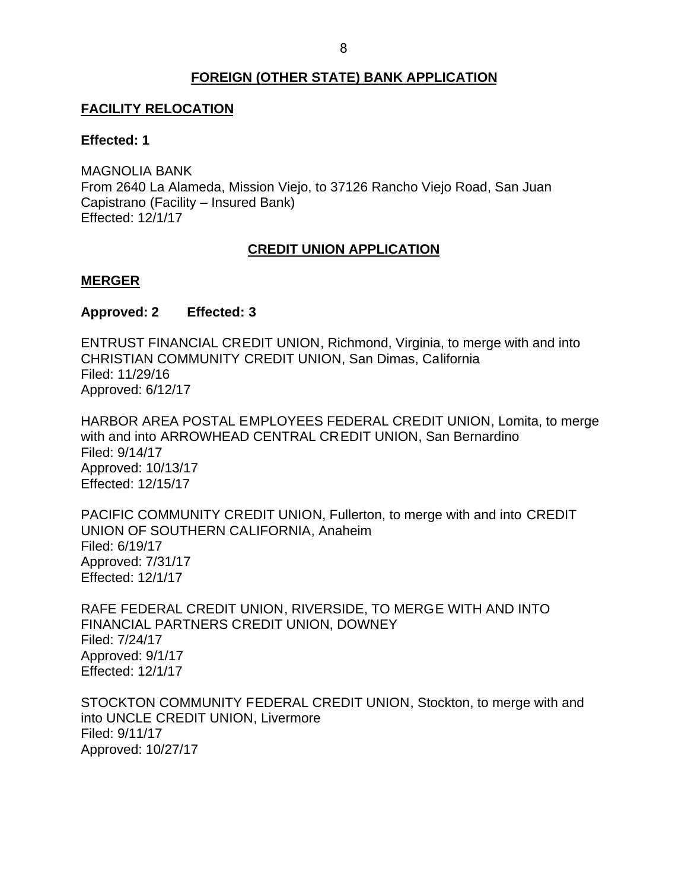## **FOREIGN (OTHER STATE) BANK APPLICATION**

## <span id="page-8-0"></span>**FACILITY RELOCATION**

### **Effected: 1**

 From 2640 La Alameda, Mission Viejo, to 37126 Rancho Viejo Road, San Juan MAGNOLIA BANK Capistrano (Facility – Insured Bank) Effected: 12/1/17

# **CREDIT UNION APPLICATION**

### **MERGER**

### **Approved: 2 Effected: 3**

 ENTRUST FINANCIAL CREDIT UNION, Richmond, Virginia, to merge with and into CHRISTIAN COMMUNITY CREDIT UNION, San Dimas, California Filed: 11/29/16 Approved: 6/12/17

 HARBOR AREA POSTAL EMPLOYEES FEDERAL CREDIT UNION, Lomita, to merge with and into ARROWHEAD CENTRAL CREDIT UNION, San Bernardino Filed: 9/14/17 Approved: 10/13/17 Effected: 12/15/17

 PACIFIC COMMUNITY CREDIT UNION, Fullerton, to merge with and into CREDIT UNION OF SOUTHERN CALIFORNIA, Anaheim Filed: 6/19/17 Approved: 7/31/17 Effected: 12/1/17

 RAFE FEDERAL CREDIT UNION, RIVERSIDE, TO MERGE WITH AND INTO FINANCIAL PARTNERS CREDIT UNION, DOWNEY Filed: 7/24/17 Approved: 9/1/17 Effected: 12/1/17

 STOCKTON COMMUNITY FEDERAL CREDIT UNION, Stockton, to merge with and into UNCLE CREDIT UNION, Livermore Filed: 9/11/17 Approved: 10/27/17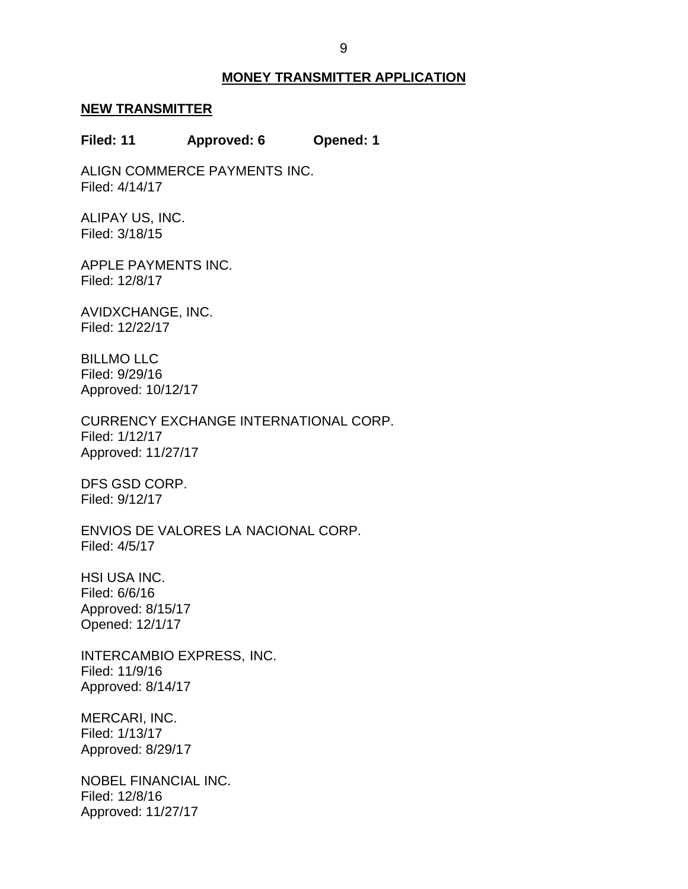### **MONEY TRANSMITTER APPLICATION**

#### <span id="page-9-0"></span>**NEW TRANSMITTER**

#### **Filed: 11 Approved: 6 Opened: 1**

ALIGN COMMERCE PAYMENTS INC. Filed: 4/14/17

ALIPAY US, INC. Filed: 3/18/15

APPLE PAYMENTS INC. Filed: 12/8/17

AVIDXCHANGE, INC. Filed: 12/22/17

BILLMO LLC Filed: 9/29/16 Approved: 10/12/17

CURRENCY EXCHANGE INTERNATIONAL CORP. Filed: 1/12/17 Approved: 11/27/17

DFS GSD CORP. Filed: 9/12/17

 ENVIOS DE VALORES LA NACIONAL CORP. Filed: 4/5/17

 HSI USA INC. Filed: 6/6/16 Approved: 8/15/17 Opened: 12/1/17

INTERCAMBIO EXPRESS, INC. Filed: 11/9/16 Approved: 8/14/17

MERCARI, INC. Filed: 1/13/17 Approved: 8/29/17

NOBEL FINANCIAL INC. Filed: 12/8/16 Approved: 11/27/17